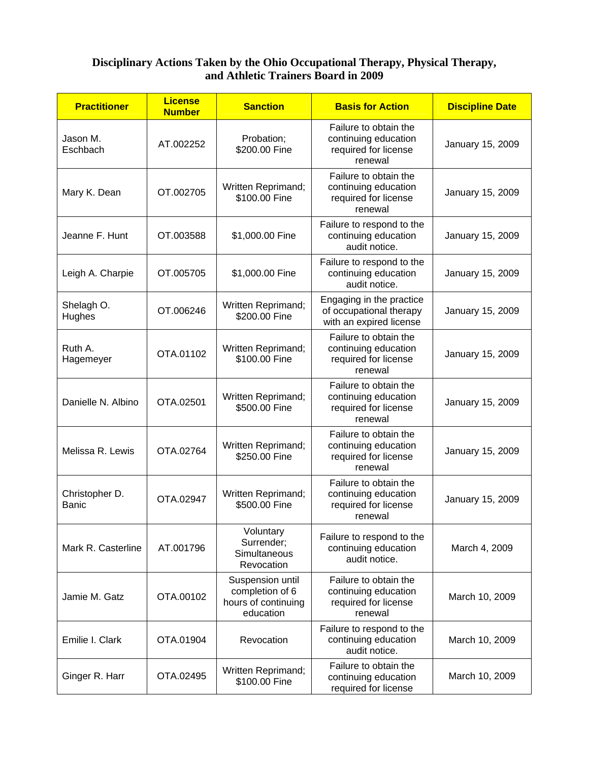## **Disciplinary Actions Taken by the Ohio Occupational Therapy, Physical Therapy, and Athletic Trainers Board in 2009**

| <b>Practitioner</b>     | <b>License</b><br><b>Number</b> | <b>Sanction</b>                                                         | <b>Basis for Action</b>                                                          | <b>Discipline Date</b> |
|-------------------------|---------------------------------|-------------------------------------------------------------------------|----------------------------------------------------------------------------------|------------------------|
| Jason M.<br>Eschbach    | AT.002252                       | Probation;<br>\$200.00 Fine                                             | Failure to obtain the<br>continuing education<br>required for license<br>renewal | January 15, 2009       |
| Mary K. Dean            | OT.002705                       | Written Reprimand;<br>\$100.00 Fine                                     | Failure to obtain the<br>continuing education<br>required for license<br>renewal | January 15, 2009       |
| Jeanne F. Hunt          | OT.003588                       | \$1,000.00 Fine                                                         | Failure to respond to the<br>continuing education<br>audit notice.               | January 15, 2009       |
| Leigh A. Charpie        | OT.005705                       | \$1,000.00 Fine                                                         | Failure to respond to the<br>continuing education<br>audit notice.               | January 15, 2009       |
| Shelagh O.<br>Hughes    | OT.006246                       | Written Reprimand;<br>\$200.00 Fine                                     | Engaging in the practice<br>of occupational therapy<br>with an expired license   | January 15, 2009       |
| Ruth A.<br>Hagemeyer    | OTA.01102                       | Written Reprimand;<br>\$100.00 Fine                                     | Failure to obtain the<br>continuing education<br>required for license<br>renewal | January 15, 2009       |
| Danielle N. Albino      | OTA.02501                       | Written Reprimand;<br>\$500.00 Fine                                     | Failure to obtain the<br>continuing education<br>required for license<br>renewal | January 15, 2009       |
| Melissa R. Lewis        | OTA.02764                       | Written Reprimand;<br>\$250.00 Fine                                     | Failure to obtain the<br>continuing education<br>required for license<br>renewal | January 15, 2009       |
| Christopher D.<br>Banic | OTA.02947                       | Written Reprimand;<br>\$500.00 Fine                                     | Failure to obtain the<br>continuing education<br>required for license<br>renewal | January 15, 2009       |
| Mark R. Casterline      | AT.001796                       | Voluntary<br>Surrender;<br>Simultaneous<br>Revocation                   | Failure to respond to the<br>continuing education<br>audit notice.               | March 4, 2009          |
| Jamie M. Gatz           | OTA.00102                       | Suspension until<br>completion of 6<br>hours of continuing<br>education | Failure to obtain the<br>continuing education<br>required for license<br>renewal | March 10, 2009         |
| Emilie I. Clark         | OTA.01904                       | Revocation                                                              | Failure to respond to the<br>continuing education<br>audit notice.               | March 10, 2009         |
| Ginger R. Harr          | OTA.02495                       | Written Reprimand;<br>\$100.00 Fine                                     | Failure to obtain the<br>continuing education<br>required for license            | March 10, 2009         |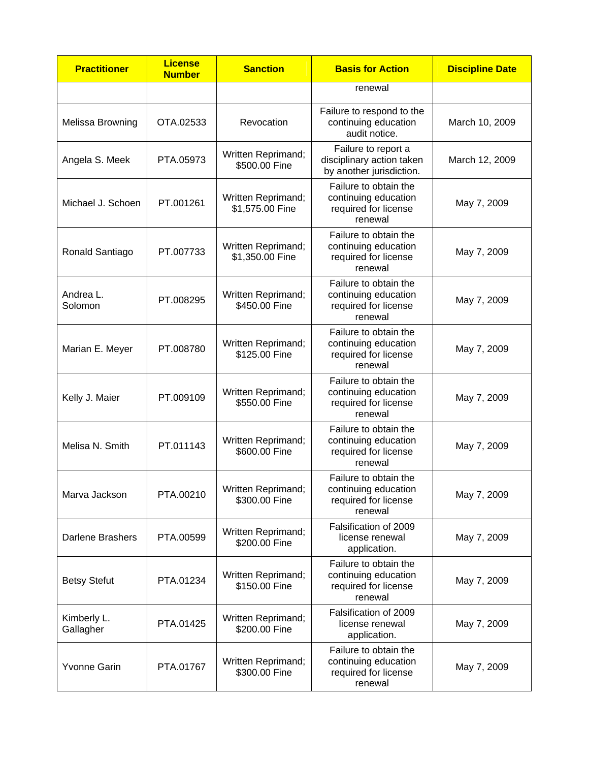| <b>Practitioner</b>      | <b>License</b><br><b>Number</b> | <b>Sanction</b>                       | <b>Basis for Action</b>                                                          | <b>Discipline Date</b> |
|--------------------------|---------------------------------|---------------------------------------|----------------------------------------------------------------------------------|------------------------|
|                          |                                 |                                       | renewal                                                                          |                        |
| <b>Melissa Browning</b>  | OTA.02533                       | Revocation                            | Failure to respond to the<br>continuing education<br>audit notice.               | March 10, 2009         |
| Angela S. Meek           | PTA.05973                       | Written Reprimand;<br>\$500.00 Fine   | Failure to report a<br>disciplinary action taken<br>by another jurisdiction.     | March 12, 2009         |
| Michael J. Schoen        | PT.001261                       | Written Reprimand;<br>\$1,575.00 Fine | Failure to obtain the<br>continuing education<br>required for license<br>renewal | May 7, 2009            |
| Ronald Santiago          | PT.007733                       | Written Reprimand;<br>\$1,350.00 Fine | Failure to obtain the<br>continuing education<br>required for license<br>renewal | May 7, 2009            |
| Andrea L.<br>Solomon     | PT.008295                       | Written Reprimand;<br>\$450.00 Fine   | Failure to obtain the<br>continuing education<br>required for license<br>renewal | May 7, 2009            |
| Marian E. Meyer          | PT.008780                       | Written Reprimand;<br>\$125.00 Fine   | Failure to obtain the<br>continuing education<br>required for license<br>renewal | May 7, 2009            |
| Kelly J. Maier           | PT.009109                       | Written Reprimand;<br>\$550.00 Fine   | Failure to obtain the<br>continuing education<br>required for license<br>renewal | May 7, 2009            |
| Melisa N. Smith          | PT.011143                       | Written Reprimand;<br>\$600.00 Fine   | Failure to obtain the<br>continuing education<br>required for license<br>renewal | May 7, 2009            |
| Marva Jackson            | PTA.00210                       | Written Reprimand;<br>\$300.00 Fine   | Failure to obtain the<br>continuing education<br>required for license<br>renewal | May 7, 2009            |
| Darlene Brashers         | PTA.00599                       | Written Reprimand;<br>\$200.00 Fine   | Falsification of 2009<br>license renewal<br>application.                         | May 7, 2009            |
| <b>Betsy Stefut</b>      | PTA.01234                       | Written Reprimand;<br>\$150.00 Fine   | Failure to obtain the<br>continuing education<br>required for license<br>renewal | May 7, 2009            |
| Kimberly L.<br>Gallagher | PTA.01425                       | Written Reprimand;<br>\$200.00 Fine   | Falsification of 2009<br>license renewal<br>application.                         | May 7, 2009            |
| <b>Yvonne Garin</b>      | PTA.01767                       | Written Reprimand;<br>\$300.00 Fine   | Failure to obtain the<br>continuing education<br>required for license<br>renewal | May 7, 2009            |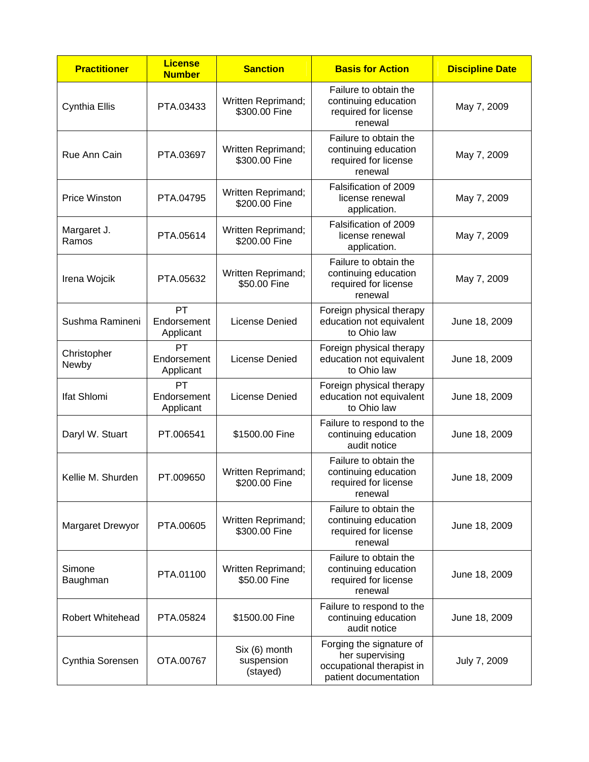| <b>Practitioner</b>  | <b>License</b><br><b>Number</b> | <b>Sanction</b>                         | <b>Basis for Action</b>                                                                           | <b>Discipline Date</b> |
|----------------------|---------------------------------|-----------------------------------------|---------------------------------------------------------------------------------------------------|------------------------|
| Cynthia Ellis        | PTA.03433                       | Written Reprimand;<br>\$300,00 Fine     | Failure to obtain the<br>continuing education<br>required for license<br>renewal                  | May 7, 2009            |
| Rue Ann Cain         | PTA.03697                       | Written Reprimand;<br>\$300.00 Fine     | Failure to obtain the<br>continuing education<br>required for license<br>renewal                  | May 7, 2009            |
| <b>Price Winston</b> | PTA.04795                       | Written Reprimand;<br>\$200.00 Fine     | Falsification of 2009<br>license renewal<br>application.                                          | May 7, 2009            |
| Margaret J.<br>Ramos | PTA.05614                       | Written Reprimand;<br>\$200.00 Fine     | Falsification of 2009<br>license renewal<br>application.                                          | May 7, 2009            |
| Irena Wojcik         | PTA.05632                       | Written Reprimand;<br>\$50.00 Fine      | Failure to obtain the<br>continuing education<br>required for license<br>renewal                  | May 7, 2009            |
| Sushma Ramineni      | PT<br>Endorsement<br>Applicant  | License Denied                          | Foreign physical therapy<br>education not equivalent<br>to Ohio law                               | June 18, 2009          |
| Christopher<br>Newby | PT<br>Endorsement<br>Applicant  | License Denied                          | Foreign physical therapy<br>education not equivalent<br>to Ohio law                               | June 18, 2009          |
| Ifat Shlomi          | PT<br>Endorsement<br>Applicant  | License Denied                          | Foreign physical therapy<br>education not equivalent<br>to Ohio law                               | June 18, 2009          |
| Daryl W. Stuart      | PT.006541                       | \$1500.00 Fine                          | Failure to respond to the<br>continuing education<br>audit notice                                 | June 18, 2009          |
| Kellie M. Shurden    | PT.009650                       | Written Reprimand;<br>\$200.00 Fine     | Failure to obtain the<br>continuing education<br>required for license<br>renewal                  | June 18, 2009          |
| Margaret Drewyor     | PTA.00605                       | Written Reprimand;<br>\$300.00 Fine     | Failure to obtain the<br>continuing education<br>required for license<br>renewal                  | June 18, 2009          |
| Simone<br>Baughman   | PTA.01100                       | Written Reprimand;<br>\$50.00 Fine      | Failure to obtain the<br>continuing education<br>required for license<br>renewal                  | June 18, 2009          |
| Robert Whitehead     | PTA.05824                       | \$1500.00 Fine                          | Failure to respond to the<br>continuing education<br>audit notice                                 | June 18, 2009          |
| Cynthia Sorensen     | OTA.00767                       | Six (6) month<br>suspension<br>(stayed) | Forging the signature of<br>her supervising<br>occupational therapist in<br>patient documentation | July 7, 2009           |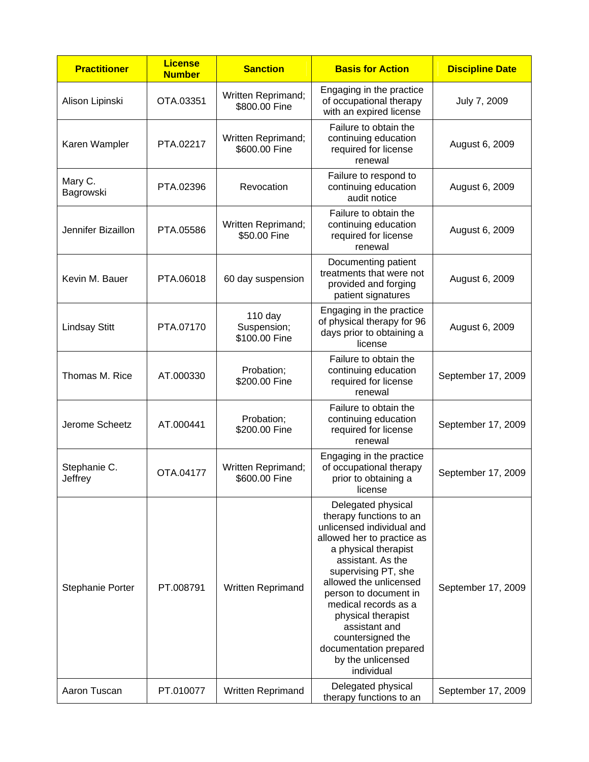| <b>Practitioner</b>     | <b>License</b><br><b>Number</b> | <b>Sanction</b>                           | <b>Basis for Action</b>                                                                                                                                                                                                                                                                                                                                                          | <b>Discipline Date</b> |
|-------------------------|---------------------------------|-------------------------------------------|----------------------------------------------------------------------------------------------------------------------------------------------------------------------------------------------------------------------------------------------------------------------------------------------------------------------------------------------------------------------------------|------------------------|
| Alison Lipinski         | OTA.03351                       | Written Reprimand;<br>\$800.00 Fine       | Engaging in the practice<br>of occupational therapy<br>with an expired license                                                                                                                                                                                                                                                                                                   | July 7, 2009           |
| Karen Wampler           | PTA.02217                       | Written Reprimand;<br>\$600.00 Fine       | Failure to obtain the<br>continuing education<br>required for license<br>renewal                                                                                                                                                                                                                                                                                                 | August 6, 2009         |
| Mary C.<br>Bagrowski    | PTA.02396                       | Revocation                                | Failure to respond to<br>continuing education<br>audit notice                                                                                                                                                                                                                                                                                                                    | August 6, 2009         |
| Jennifer Bizaillon      | PTA.05586                       | Written Reprimand;<br>\$50.00 Fine        | Failure to obtain the<br>continuing education<br>required for license<br>renewal                                                                                                                                                                                                                                                                                                 | August 6, 2009         |
| Kevin M. Bauer          | PTA.06018                       | 60 day suspension                         | Documenting patient<br>treatments that were not<br>provided and forging<br>patient signatures                                                                                                                                                                                                                                                                                    | August 6, 2009         |
| <b>Lindsay Stitt</b>    | PTA.07170                       | $110$ day<br>Suspension;<br>\$100.00 Fine | Engaging in the practice<br>of physical therapy for 96<br>days prior to obtaining a<br>license                                                                                                                                                                                                                                                                                   | August 6, 2009         |
| Thomas M. Rice          | AT.000330                       | Probation;<br>\$200.00 Fine               | Failure to obtain the<br>continuing education<br>required for license<br>renewal                                                                                                                                                                                                                                                                                                 | September 17, 2009     |
| Jerome Scheetz          | AT.000441                       | Probation;<br>\$200.00 Fine               | Failure to obtain the<br>continuing education<br>required for license<br>renewal                                                                                                                                                                                                                                                                                                 | September 17, 2009     |
| Stephanie C.<br>Jeffrey | OTA.04177                       | Written Reprimand;<br>\$600.00 Fine       | Engaging in the practice<br>of occupational therapy<br>prior to obtaining a<br>license                                                                                                                                                                                                                                                                                           | September 17, 2009     |
| Stephanie Porter        | PT.008791                       | Written Reprimand                         | Delegated physical<br>therapy functions to an<br>unlicensed individual and<br>allowed her to practice as<br>a physical therapist<br>assistant. As the<br>supervising PT, she<br>allowed the unlicensed<br>person to document in<br>medical records as a<br>physical therapist<br>assistant and<br>countersigned the<br>documentation prepared<br>by the unlicensed<br>individual | September 17, 2009     |
| Aaron Tuscan            | PT.010077                       | Written Reprimand                         | Delegated physical<br>therapy functions to an                                                                                                                                                                                                                                                                                                                                    | September 17, 2009     |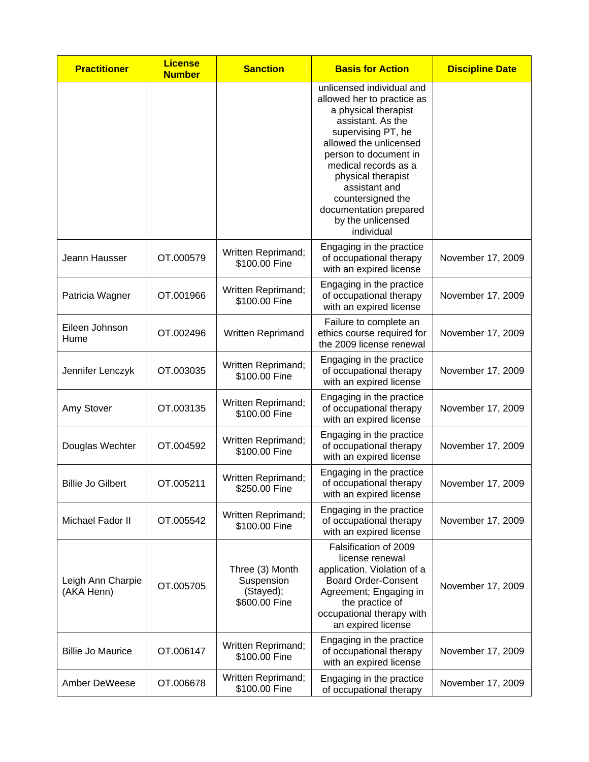| <b>Practitioner</b>             | <b>License</b><br><b>Number</b> | <b>Sanction</b>                                             | <b>Basis for Action</b>                                                                                                                                                                                                                                                                                                        | <b>Discipline Date</b> |
|---------------------------------|---------------------------------|-------------------------------------------------------------|--------------------------------------------------------------------------------------------------------------------------------------------------------------------------------------------------------------------------------------------------------------------------------------------------------------------------------|------------------------|
|                                 |                                 |                                                             | unlicensed individual and<br>allowed her to practice as<br>a physical therapist<br>assistant. As the<br>supervising PT, he<br>allowed the unlicensed<br>person to document in<br>medical records as a<br>physical therapist<br>assistant and<br>countersigned the<br>documentation prepared<br>by the unlicensed<br>individual |                        |
| Jeann Hausser                   | OT.000579                       | Written Reprimand;<br>\$100.00 Fine                         | Engaging in the practice<br>of occupational therapy<br>with an expired license                                                                                                                                                                                                                                                 | November 17, 2009      |
| Patricia Wagner                 | OT.001966                       | Written Reprimand;<br>\$100.00 Fine                         | Engaging in the practice<br>of occupational therapy<br>with an expired license                                                                                                                                                                                                                                                 | November 17, 2009      |
| Eileen Johnson<br>Hume          | OT.002496                       | Written Reprimand                                           | Failure to complete an<br>ethics course required for<br>the 2009 license renewal                                                                                                                                                                                                                                               | November 17, 2009      |
| Jennifer Lenczyk                | OT.003035                       | Written Reprimand;<br>\$100.00 Fine                         | Engaging in the practice<br>of occupational therapy<br>with an expired license                                                                                                                                                                                                                                                 | November 17, 2009      |
| Amy Stover                      | OT.003135                       | Written Reprimand;<br>\$100.00 Fine                         | Engaging in the practice<br>of occupational therapy<br>with an expired license                                                                                                                                                                                                                                                 | November 17, 2009      |
| Douglas Wechter                 | OT.004592                       | Written Reprimand;<br>\$100.00 Fine                         | Engaging in the practice<br>of occupational therapy<br>with an expired license                                                                                                                                                                                                                                                 | November 17, 2009      |
| Billie Jo Gilbert               | OT 005211                       | Written Reprimand;<br>\$250.00 Fine                         | Engaging in the practice<br>of occupational therapy<br>with an expired license                                                                                                                                                                                                                                                 | November 17, 2009      |
| Michael Fador II                | OT.005542                       | Written Reprimand;<br>\$100.00 Fine                         | Engaging in the practice<br>of occupational therapy<br>with an expired license                                                                                                                                                                                                                                                 | November 17, 2009      |
| Leigh Ann Charpie<br>(AKA Henn) | OT.005705                       | Three (3) Month<br>Suspension<br>(Stayed);<br>\$600.00 Fine | Falsification of 2009<br>license renewal<br>application. Violation of a<br><b>Board Order-Consent</b><br>Agreement; Engaging in<br>the practice of<br>occupational therapy with<br>an expired license                                                                                                                          | November 17, 2009      |
| <b>Billie Jo Maurice</b>        | OT.006147                       | Written Reprimand;<br>\$100.00 Fine                         | Engaging in the practice<br>of occupational therapy<br>with an expired license                                                                                                                                                                                                                                                 | November 17, 2009      |
| Amber DeWeese                   | OT.006678                       | Written Reprimand;<br>\$100.00 Fine                         | Engaging in the practice<br>of occupational therapy                                                                                                                                                                                                                                                                            | November 17, 2009      |